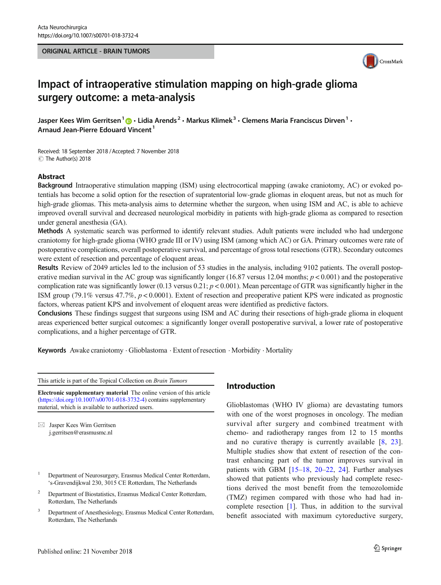#### ORIGINAL ARTICLE - BRAIN TUMORS



# Impact of intraoperative stimulation mapping on high-grade glioma surgery outcome: a meta-analysis

Jasper Kees Wim Gerritsen<sup>1</sup>  $\bigcirc \cdot$  Lidia Arends<sup>2</sup>  $\cdot$  Markus Klimek<sup>3</sup>  $\cdot$  Clemens Maria Franciscus Dirven<sup>1</sup>  $\cdot$ Arnaud Jean-Pierre Edouard Vincent<sup>1</sup>

Received: 18 September 2018 /Accepted: 7 November 2018  $\circledcirc$  The Author(s) 2018

#### Abstract

Background Intraoperative stimulation mapping (ISM) using electrocortical mapping (awake craniotomy, AC) or evoked potentials has become a solid option for the resection of supratentorial low-grade gliomas in eloquent areas, but not as much for high-grade gliomas. This meta-analysis aims to determine whether the surgeon, when using ISM and AC, is able to achieve improved overall survival and decreased neurological morbidity in patients with high-grade glioma as compared to resection under general anesthesia (GA).

Methods A systematic search was performed to identify relevant studies. Adult patients were included who had undergone craniotomy for high-grade glioma (WHO grade III or IV) using ISM (among which AC) or GA. Primary outcomes were rate of postoperative complications, overall postoperative survival, and percentage of gross total resections (GTR). Secondary outcomes were extent of resection and percentage of eloquent areas.

Results Review of 2049 articles led to the inclusion of 53 studies in the analysis, including 9102 patients. The overall postoperative median survival in the AC group was significantly longer (16.87 versus 12.04 months;  $p < 0.001$ ) and the postoperative complication rate was significantly lower (0.13 versus 0.21;  $p < 0.001$ ). Mean percentage of GTR was significantly higher in the ISM group (79.1% versus 47.7%, p < 0.0001). Extent of resection and preoperative patient KPS were indicated as prognostic factors, whereas patient KPS and involvement of eloquent areas were identified as predictive factors.

Conclusions These findings suggest that surgeons using ISM and AC during their resections of high-grade glioma in eloquent areas experienced better surgical outcomes: a significantly longer overall postoperative survival, a lower rate of postoperative complications, and a higher percentage of GTR.

Keywords Awake craniotomy  $\cdot$  Glioblastoma  $\cdot$  Extent of resection  $\cdot$  Morbidity  $\cdot$  Mortality

This article is part of the Topical Collection on Brain Tumors

Electronic supplementary material The online version of this article (<https://doi.org/10.1007/s00701-018-3732-4>) contains supplementary material, which is available to authorized users.

 $\boxtimes$  Jasper Kees Wim Gerritsen [j.gerritsen@erasmusmc.nl](mailto:j.gerritsen@erasmusmc.nl)

- <sup>1</sup> Department of Neurosurgery, Erasmus Medical Center Rotterdam, 's-Gravendijkwal 230, 3015 CE Rotterdam, The Netherlands
- <sup>2</sup> Department of Biostatistics, Erasmus Medical Center Rotterdam, Rotterdam, The Netherlands
- <sup>3</sup> Department of Anesthesiology, Erasmus Medical Center Rotterdam, Rotterdam, The Netherlands

# Introduction

Glioblastomas (WHO IV glioma) are devastating tumors with one of the worst prognoses in oncology. The median survival after surgery and combined treatment with chemo- and radiotherapy ranges from 12 to 15 months and no curative therapy is currently available [[8](#page-7-0), [23](#page-8-0)]. Multiple studies show that extent of resection of the contrast enhancing part of the tumor improves survival in patients with GBM [\[15](#page-7-0)–[18,](#page-8-0) [20](#page-8-0)–[22](#page-8-0), [24](#page-8-0)]. Further analyses showed that patients who previously had complete resections derived the most benefit from the temozolomide (TMZ) regimen compared with those who had had incomplete resection [[1\]](#page-7-0). Thus, in addition to the survival benefit associated with maximum cytoreductive surgery,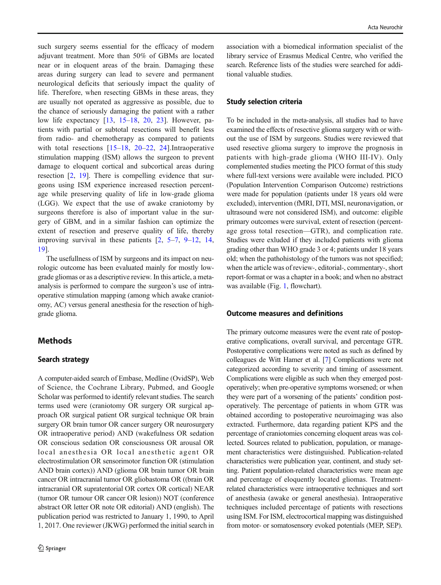such surgery seems essential for the efficacy of modern adjuvant treatment. More than 50% of GBMs are located near or in eloquent areas of the brain. Damaging these areas during surgery can lead to severe and permanent neurological deficits that seriously impact the quality of life. Therefore, when resecting GBMs in these areas, they are usually not operated as aggressive as possible, due to the chance of seriously damaging the patient with a rather low life expectancy [[13](#page-7-0), [15](#page-7-0)–[18,](#page-8-0) [20,](#page-8-0) [23](#page-8-0)]. However, patients with partial or subtotal resections will benefit less from radio- and chemotherapy as compared to patients with total resections  $[15-18, 20-22, 24]$  $[15-18, 20-22, 24]$  $[15-18, 20-22, 24]$  $[15-18, 20-22, 24]$  $[15-18, 20-22, 24]$  $[15-18, 20-22, 24]$  $[15-18, 20-22, 24]$  $[15-18, 20-22, 24]$  $[15-18, 20-22, 24]$  $[15-18, 20-22, 24]$ . Intraoperative stimulation mapping (ISM) allows the surgeon to prevent damage to eloquent cortical and subcortical areas during resection [\[2](#page-7-0), [19\]](#page-8-0). There is compelling evidence that surgeons using ISM experience increased resection percentage while preserving quality of life in low-grade glioma (LGG). We expect that the use of awake craniotomy by surgeons therefore is also of important value in the surgery of GBM, and in a similar fashion can optimize the extent of resection and preserve quality of life, thereby improving survival in these patients [\[2](#page-7-0), [5](#page-7-0)–[7,](#page-7-0) [9](#page-7-0)–[12,](#page-7-0) [14,](#page-7-0) [19\]](#page-8-0).

The usefullness of ISM by surgeons and its impact on neurologic outcome has been evaluated mainly for mostly lowgrade gliomas or as a descriptive review. In this article, a metaanalysis is performed to compare the surgeon's use of intraoperative stimulation mapping (among which awake craniotomy, AC) versus general anesthesia for the resection of highgrade glioma.

# Methods

#### Search strategy

A computer-aided search of Embase, Medline (OvidSP), Web of Science, the Cochrane Library, Pubmed, and Google Scholar was performed to identify relevant studies. The search terms used were (craniotomy OR surgery OR surgical approach OR surgical patient OR surgical technique OR brain surgery OR brain tumor OR cancer surgery OR neurosurgery OR intraoperative period) AND (wakefulness OR sedation OR conscious sedation OR consciousness OR arousal OR local anesthesia OR local anesthetic agent OR electrostimulation OR sensorimotor function OR (stimulation AND brain cortex)) AND (glioma OR brain tumor OR brain cancer OR intracranial tumor OR gliobastoma OR ((brain OR intracranial OR supratentorial OR cortex OR cortical) NEAR (tumor OR tumour OR cancer OR lesion)) NOT (conference abstract OR letter OR note OR editorial) AND (english). The publication period was restricted to January 1, 1990, to April 1, 2017. One reviewer (JKWG) performed the initial search in

association with a biomedical information specialist of the library service of Erasmus Medical Centre, who verified the search. Reference lists of the studies were searched for additional valuable studies.

# Study selection criteria

To be included in the meta-analysis, all studies had to have examined the effects of resective glioma surgery with or without the use of ISM by surgeons. Studies were reviewed that used resective glioma surgery to improve the prognosis in patients with high-grade glioma (WHO III-IV). Only complemented studies meeting the PICO format of this study where full-text versions were available were included. PICO (Population Intervention Comparison Outcome) restrictions were made for population (patients under 18 years old were excluded), intervention (fMRI, DTI, MSI, neuronavigation, or ultrasound were not considered ISM), and outcome: eligible primary outcomes were survival, extent of resection (percentage gross total resection—GTR), and complication rate. Studies were exluded if they included patients with glioma grading other than WHO grade 3 or 4; patients under 18 years old; when the pathohistology of the tumors was not specified; when the article was of review-, editorial-, commentary-, short report-format or was a chapter in a book; and when no abstract was available (Fig. [1](#page-2-0), flowchart).

#### Outcome measures and definitions

The primary outcome measures were the event rate of postoperative complications, overall survival, and percentage GTR. Postoperative complications were noted as such as defined by colleagues de Witt Hamer et al. [\[7\]](#page-7-0) Complications were not categorized according to severity and timing of assessment. Complications were eligible as such when they emerged postoperatively; when pre-operative symptoms worsened; or when they were part of a worsening of the patients' condition postoperatively. The percentage of patients in whom GTR was obtained according to postoperative neuroimaging was also extracted. Furthermore, data regarding patient KPS and the percentage of craniotomies concerning eloquent areas was collected. Sources related to publication, population, or management characteristics were distinguished. Publication-related characteristics were publication year, continent, and study setting. Patient population-related characteristics were mean age and percentage of eloquently located gliomas. Treatmentrelated characteristics were intraoperative techniques and sort of anesthesia (awake or general anesthesia). Intraoperative techniques included percentage of patients with resections using ISM. For ISM, electrocortical mapping was distinguished from motor- or somatosensory evoked potentials (MEP, SEP).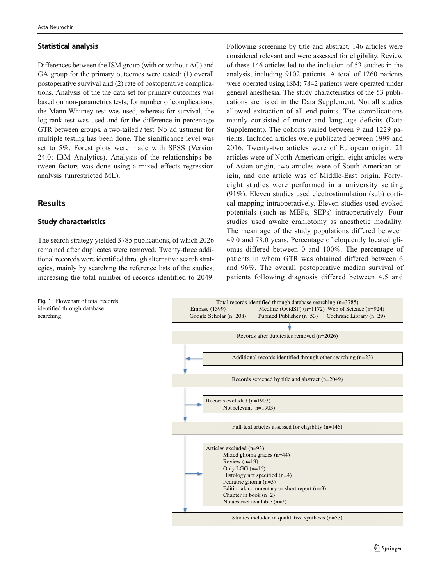# <span id="page-2-0"></span>Statistical analysis

Differences between the ISM group (with or without AC) and GA group for the primary outcomes were tested: (1) overall postoperative survival and (2) rate of postoperative complications. Analysis of the the data set for primary outcomes was based on non-parametrics tests; for number of complications, the Mann-Whitney test was used, whereas for survival, the log-rank test was used and for the difference in percentage GTR between groups, a two-tailed *t* test. No adjustment for multiple testing has been done. The significance level was set to 5%. Forest plots were made with SPSS (Version 24.0; IBM Analytics). Analysis of the relationships between factors was done using a mixed effects regression analysis (unrestricted ML).

# Results

# Study characteristics

The search strategy yielded 3785 publications, of which 2026 remained after duplicates were removed. Twenty-three additional recoreds were identified through alternative search strategies, mainly by searching the reference lists of the studies, increasing the total number of records identified to 2049.

Following screening by title and abstract, 146 articles were considered relevant and were assessed for eligibility. Review of these 146 articles led to the inclusion of 53 studies in the analysis, including 9102 patients. A total of 1260 patients were operated using ISM; 7842 patients were operated under general anesthesia. The study characteristics of the 53 publications are listed in the Data Supplement. Not all studies allowed extraction of all end points. The complications mainly consisted of motor and language deficits (Data Supplement). The cohorts varied between 9 and 1229 patients. Included articles were publicated between 1999 and 2016. Twenty-two articles were of European origin, 21 articles were of North-American origin, eight articles were of Asian origin, two articles were of South-American origin, and one article was of Middle-East origin. Fortyeight studies were performed in a university setting (91%). Eleven studies used electrostimulation (sub) cortical mapping intraoperatively. Eleven studies used evoked potentials (such as MEPs, SEPs) intraoperatively. Four studies used awake craniotomy as anesthetic modality. The mean age of the study populations differed between 49.0 and 78.0 years. Percentage of eloquently located gliomas differed between 0 and 100%. The percentage of patients in whom GTR was obtained differed between 6 and 96%. The overall postoperative median survival of patients following diagnosis differed between 4.5 and



Fig. 1 Flowchart of total records identified through database searching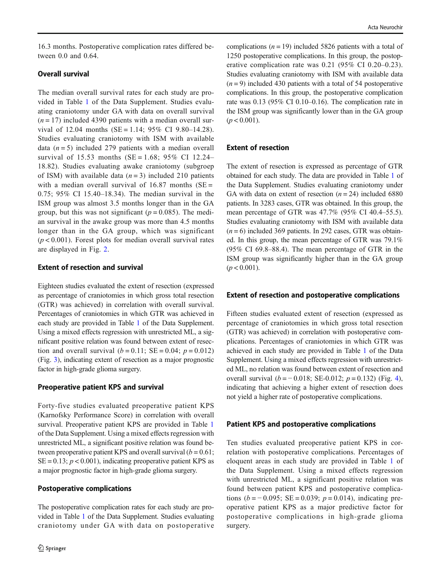16.3 months. Postoperative complication rates differed between 0.0 and 0.64.

# Overall survival

The median overall survival rates for each study are provided in Table 1 of the Data Supplement. Studies evaluating craniotomy under GA with data on overall survival  $(n = 17)$  included 4390 patients with a median overall survival of 12.04 months (SE = 1.14;  $95\%$  CI 9.80-14.28). Studies evaluating craniotomy with ISM with available data  $(n = 5)$  included 279 patients with a median overall survival of 15.53 months (SE = 1.68; 95% CI 12.24– 18.82). Studies evaluating awake craniotomy (subgroep of ISM) with available data  $(n=3)$  included 210 patients with a median overall survival of  $16.87$  months (SE = 0.75; 95% CI 15.40–18.34). The median survival in the ISM group was almost 3.5 months longer than in the GA group, but this was not significant ( $p = 0.085$ ). The median survival in the awake group was more than 4.5 months longer than in the GA group, which was significant  $(p < 0.001)$ . Forest plots for median overall survival rates are displayed in Fig. [2](#page-4-0).

### Extent of resection and survival

Eighteen studies evaluated the extent of resection (expressed as percentage of craniotomies in which gross total resection (GTR) was achieved) in correlation with overall survival. Percentages of craniotomies in which GTR was achieved in each study are provided in Table 1 of the Data Supplement. Using a mixed effects regression with unrestricted ML, a significant positive relation was found between extent of resection and overall survival  $(b = 0.11; SE = 0.04; p = 0.012)$ (Fig. [3\)](#page-5-0), indicating extent of resection as a major prognostic factor in high-grade glioma surgery.

# Preoperative patient KPS and survival

Forty-five studies evaluated preoperative patient KPS (Karnofsky Performance Score) in correlation with overall survival. Preoperative patient KPS are provided in Table 1 of the Data Supplement. Using a mixed effects regression with unrestricted ML, a significant positive relation was found between preoperative patient KPS and overall survival  $(b = 0.61)$ ;  $SE = 0.13$ ;  $p < 0.001$ ), indicating preoperative patient KPS as a major prognostic factor in high-grade glioma surgery.

#### Postoperative complications

The postoperative complication rates for each study are provided in Table 1 of the Data Supplement. Studies evaluating craniotomy under GA with data on postoperative complications ( $n = 19$ ) included 5826 patients with a total of 1250 postoperative complications. In this group, the postoperative complication rate was 0.21 (95% CI 0.20–0.23). Studies evaluating craniotomy with ISM with available data  $(n=9)$  included 430 patients with a total of 54 postoperative complications. In this group, the postoperative complication rate was 0.13 (95% CI 0.10–0.16). The complication rate in the ISM group was significantly lower than in the GA group  $(p < 0.001)$ .

#### Extent of resection

The extent of resection is expressed as percentage of GTR obtained for each study. The data are provided in Table 1 of the Data Supplement. Studies evaluating craniotomy under GA with data on extent of resection  $(n = 24)$  included 6880 patients. In 3283 cases, GTR was obtained. In this group, the mean percentage of GTR was 47.7% (95% CI 40.4–55.5). Studies evaluating craniotomy with ISM with available data  $(n=6)$  included 369 patients. In 292 cases, GTR was obtained. In this group, the mean percentage of GTR was 79.1% (95% CI 69.8–88.4). The mean percentage of GTR in the ISM group was significantly higher than in the GA group  $(p < 0.001)$ .

### Extent of resection and postoperative complications

Fifteen studies evaluated extent of resection (expressed as percentage of craniotomies in which gross total resection (GTR) was achieved) in correlation with postoperative complications. Percentages of craniotomies in which GTR was achieved in each study are provided in Table 1 of the Data Supplement. Using a mixed effects regression with unrestricted ML, no relation was found between extent of resection and overall survival  $(b = -0.018; SE-0.012; p = 0.132)$  (Fig. [4\)](#page-5-0), indicating that achieving a higher extent of resection does not yield a higher rate of postoperative complications.

#### Patient KPS and postoperative complications

Ten studies evaluated preoperative patient KPS in correlation with postoperative complications. Percentages of eloquent areas in each study are provided in Table 1 of the Data Supplement. Using a mixed effects regression with unrestricted ML, a significant positive relation was found between patient KPS and postoperative complications ( $b = -0.095$ ; SE = 0.039;  $p = 0.014$ ), indicating preoperative patient KPS as a major predictive factor for postoperative complications in high-grade glioma surgery.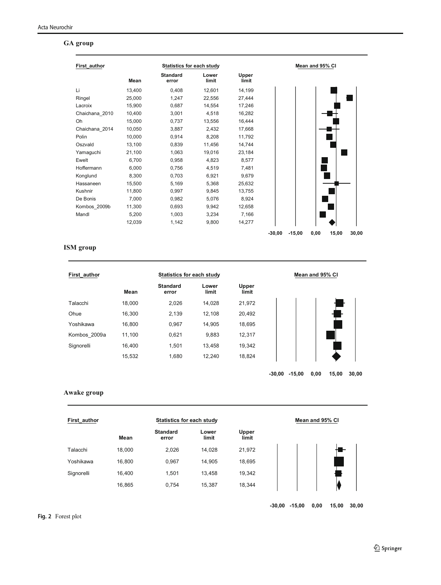# <span id="page-4-0"></span>**GA group**

| First author   |        | <b>Statistics for each study</b> |                |                |          |          | Mean and 95% CI |       |       |
|----------------|--------|----------------------------------|----------------|----------------|----------|----------|-----------------|-------|-------|
|                | Mean   | <b>Standard</b><br>error         | Lower<br>limit | Upper<br>limit |          |          |                 |       |       |
| Li             | 13,400 | 0,408                            | 12,601         | 14,199         |          |          |                 |       |       |
| Ringel         | 25,000 | 1,247                            | 22,556         | 27,444         |          |          |                 |       |       |
| Lacroix        | 15,900 | 0,687                            | 14,554         | 17,246         |          |          |                 |       |       |
| Chaichana 2010 | 10,400 | 3,001                            | 4,518          | 16,282         |          |          |                 |       |       |
| Oh             | 15,000 | 0,737                            | 13,556         | 16,444         |          |          |                 |       |       |
| Chaichana 2014 | 10,050 | 3,887                            | 2,432          | 17,668         |          |          |                 |       |       |
| Polin          | 10,000 | 0,914                            | 8.208          | 11,792         |          |          |                 |       |       |
| Oszvald        | 13,100 | 0,839                            | 11,456         | 14,744         |          |          |                 |       |       |
| Yamaguchi      | 21,100 | 1,063                            | 19,016         | 23,184         |          |          |                 |       |       |
| Ewelt          | 6,700  | 0,958                            | 4,823          | 8,577          |          |          |                 |       |       |
| Hoffermann     | 6,000  | 0,756                            | 4,519          | 7.481          |          |          |                 |       |       |
| Konglund       | 8,300  | 0,703                            | 6,921          | 9,679          |          |          |                 |       |       |
| Hassaneen      | 15,500 | 5,169                            | 5,368          | 25,632         |          |          |                 |       |       |
| Kushnir        | 11,800 | 0,997                            | 9,845          | 13,755         |          |          |                 |       |       |
| De Bonis       | 7,000  | 0,982                            | 5.076          | 8,924          |          |          |                 |       |       |
| Kombos 2009b   | 11,300 | 0,693                            | 9,942          | 12,658         |          |          |                 |       |       |
| Mandl          | 5,200  | 1,003                            | 3,234          | 7,166          |          |          |                 |       |       |
|                | 12,039 | 1,142                            | 9,800          | 14,277         |          |          |                 |       |       |
|                |        |                                  |                |                | $-30,00$ | $-15,00$ | 0,00            | 15,00 | 30,00 |

# **ISM group**

| <b>First author</b> | Statistics for each study |                          |                |                |  |
|---------------------|---------------------------|--------------------------|----------------|----------------|--|
|                     | Mean                      | <b>Standard</b><br>error | Lower<br>limit | Upper<br>limit |  |
| Talacchi            | 18.000                    | 2,026                    | 14.028         | 21,972         |  |
| Ohue                | 16,300                    | 2,139                    | 12,108         | 20,492         |  |
| Yoshikawa           | 16.800                    | 0.967                    | 14.905         | 18,695         |  |
| Kombos 2009a        | 11,100                    | 0,621                    | 9,883          | 12,317         |  |
| Signorelli          | 16.400                    | 1.501                    | 13,458         | 19,342         |  |
|                     | 15,532                    | 1.680                    | 12,240         | 18,824         |  |

**-30,00 -15,00 0,00 15,00 30,00**

### **Awake group**

| First author |        | Statistics for each study |                |                |
|--------------|--------|---------------------------|----------------|----------------|
|              | Mean   | <b>Standard</b><br>error  | Lower<br>limit | Upper<br>limit |
| Talacchi     | 18.000 | 2.026                     | 14,028         | 21,972         |
| Yoshikawa    | 16,800 | 0,967                     | 14,905         | 18,695         |
| Signorelli   | 16,400 | 1,501                     | 13,458         | 19,342         |
|              | 16,865 | 0,754                     | 15,387         | 18,344         |

**-30,00 -15,00 0,00 15,00 30,00**

Fig. 2 Forest plot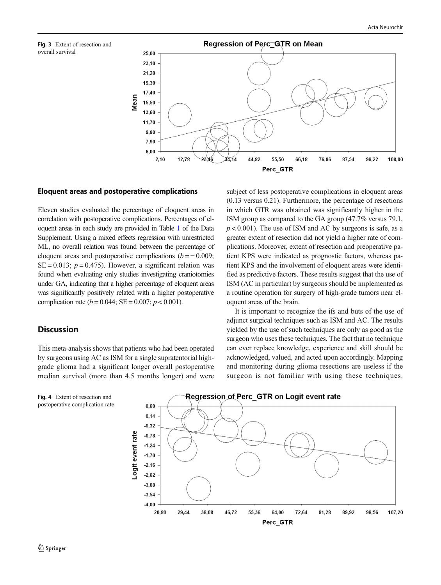<span id="page-5-0"></span>Fig. 3 Extent of resection and overall survival



#### Eloquent areas and postoperative complications

Eleven studies evaluated the percentage of eloquent areas in correlation with postoperative complications. Percentages of eloquent areas in each study are provided in Table 1 of the Data Supplement. Using a mixed effects regression with unrestricted ML, no overall relation was found between the percentage of eloquent areas and postoperative complications  $(b = -0.009)$ ;  $SE = 0.013$ ;  $p = 0.475$ ). However, a significant relation was found when evaluating only studies investigating craniotomies under GA, indicating that a higher percentage of eloquent areas was significantly positively related with a higher postoperative complication rate ( $b = 0.044$ ; SE = 0.007;  $p < 0.001$ ).

#### **Discussion**

This meta-analysis shows that patients who had been operated by surgeons using AC as ISM for a single supratentorial highgrade glioma had a significant longer overall postoperative median survival (more than 4.5 months longer) and were subject of less postoperative complications in eloquent areas (0.13 versus 0.21). Furthermore, the percentage of resections in which GTR was obtained was significantly higher in the ISM group as compared to the GA group (47.7% versus 79.1,  $p < 0.001$ ). The use of ISM and AC by surgeons is safe, as a greater extent of resection did not yield a higher rate of complications. Moreover, extent of resection and preoperative patient KPS were indicated as prognostic factors, whereas patient KPS and the involvement of eloquent areas were identified as predictive factors. These results suggest that the use of ISM (AC in particular) by surgeons should be implemented as a routine operation for surgery of high-grade tumors near eloquent areas of the brain.

It is important to recognize the ifs and buts of the use of adjunct surgical techniques such as ISM and AC. The results yielded by the use of such techniques are only as good as the surgeon who uses these techniques. The fact that no technique can ever replace knowledge, experience and skill should be acknowledged, valued, and acted upon accordingly. Mapping and monitoring during glioma resections are useless if the surgeon is not familiar with using these techniques.



Fig. 4 Extent of resection and postoperative complication rate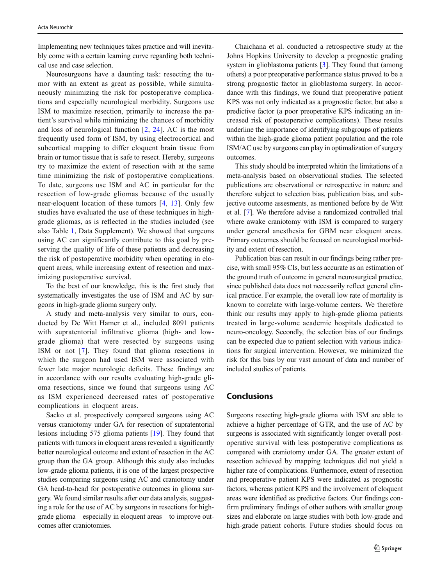Implementing new techniques takes practice and will inevitably come with a certain learning curve regarding both technical use and case selection.

Neurosurgeons have a daunting task: resecting the tumor with an extent as great as possible, while simultaneously minimizing the risk for postoperative complications and especially neurological morbidity. Surgeons use ISM to maximize resection, primarily to increase the patient's survival while minimizing the chances of morbidity and loss of neurological function [\[2](#page-7-0), [24\]](#page-8-0). AC is the most frequently used form of ISM, by using electrocortical and subcortical mapping to differ eloquent brain tissue from brain or tumor tissue that is safe to resect. Hereby, surgeons try to maximize the extent of resection with at the same time minimizing the risk of postoperative complications. To date, surgeons use ISM and AC in particular for the resection of low-grade gliomas because of the usually near-eloquent location of these tumors [[4,](#page-7-0) [13](#page-7-0)]. Only few studies have evaluated the use of these techniques in highgrade gliomas, as is reflected in the studies included (see also Table 1, Data Supplement). We showed that surgeons using AC can significantly contribute to this goal by preserving the quality of life of these patients and decreasing the risk of postoperative morbidity when operating in eloquent areas, while increasing extent of resection and maximizing postoperative survival.

To the best of our knowledge, this is the first study that systematically investigates the use of ISM and AC by surgeons in high-grade glioma surgery only.

A study and meta-analysis very similar to ours, conducted by De Witt Hamer et al., included 8091 patients with supratentorial infiltrative glioma (high- and lowgrade glioma) that were resected by surgeons using ISM or not [[7\]](#page-7-0). They found that glioma resections in which the surgeon had used ISM were associated with fewer late major neurologic deficits. These findings are in accordance with our results evaluating high-grade glioma resections, since we found that surgeons using AC as ISM experienced decreased rates of postoperative complications in eloquent areas.

Sacko et al. prospectively compared surgeons using AC versus craniotomy under GA for resection of supratentorial lesions including 575 glioma patients [\[19](#page-8-0)]. They found that patients with tumors in eloquent areas revealed a significantly better neurological outcome and extent of resection in the AC group than the GA group. Although this study also includes low-grade glioma patients, it is one of the largest prospective studies comparing surgeons using AC and craniotomy under GA head-to-head for postoperative outcomes in glioma surgery. We found similar results after our data analysis, suggesting a role for the use of AC by surgeons in resections for highgrade glioma—especially in eloquent areas—to improve outcomes after craniotomies.

Chaichana et al. conducted a retrospective study at the Johns Hopkins University to develop a prognostic grading system in glioblastoma patients [\[3](#page-7-0)]. They found that (among others) a poor preoperative performance status proved to be a strong prognostic factor in glioblastoma surgery. In accordance with this findings, we found that preoperative patient KPS was not only indicated as a prognostic factor, but also a predictive factor (a poor preoperative KPS indicating an increased risk of postoperative complications). These results underline the importance of identifying subgroups of patients within the high-grade glioma patient population and the role ISM/AC use by surgeons can play in optimalization of surgery outcomes.

This study should be interpreted whitin the limitations of a meta-analysis based on observational studies. The selected publications are observational or retrospective in nature and therefore subject to selection bias, publication bias, and subjective outcome assesments, as mentioned before by de Witt et al. [[7](#page-7-0)]. We therefore advise a randomized controlled trial where awake craniotomy with ISM is compared to surgery under general anesthesia for GBM near eloquent areas. Primary outcomes should be focused on neurological morbidity and extent of resection.

Publication bias can result in our findings being rather precise, with small 95% CIs, but less accurate as an estimation of the ground truth of outcome in general neurosurgical practice, since published data does not necessarily reflect general clinical practice. For example, the overall low rate of mortality is known to correlate with large-volume centers. We therefore think our results may apply to high-grade glioma patients treated in large-volume academic hospitals dedicated to neuro-oncology. Secondly, the selection bias of our findings can be expected due to patient selection with various indications for surgical intervention. However, we minimized the risk for this bias by our vast amount of data and number of included studies of patients.

# Conclusions

Surgeons resecting high-grade glioma with ISM are able to achieve a higher percentage of GTR, and the use of AC by surgeons is associated with significantly longer overall postoperative survival with less postoperative complications as compared with craniotomy under GA. The greater extent of resection achieved by mapping techniques did not yield a higher rate of complications. Furthermore, extent of resection and preoperative patient KPS were indicated as prognostic factors, whereas patient KPS and the involvement of eloquent areas were identified as predictive factors. Our findings confirm preliminary findings of other authors with smaller group sizes and elaborate on large studies with both low-grade and high-grade patient cohorts. Future studies should focus on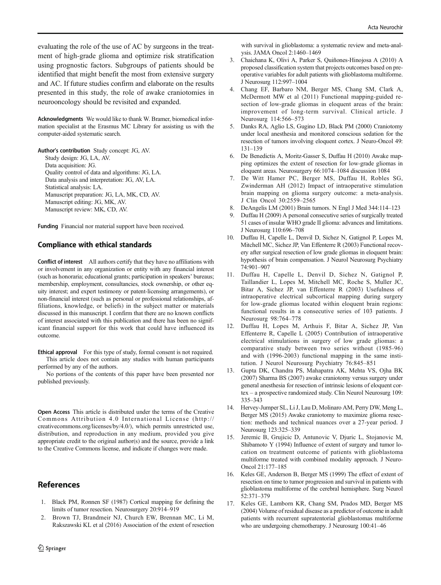<span id="page-7-0"></span>evaluating the role of the use of AC by surgeons in the treatment of high-grade glioma and optimize risk stratification using prognostic factors. Subgroups of patients should be identified that might benefit the most from extensive surgery and AC. If future studies confirm and elaborate on the results presented in this study, the role of awake craniotomies in neurooncology should be revisited and expanded.

Acknowledgments We would like to thank W. Bramer, biomedical information specialist at the Erasmus MC Library for assisting us with the computer-aided systematic search.

Author's contribution Study concept: JG, AV. Study design: JG, LA, AV. Data acquisition: JG. Quality control of data and algorithms: JG, LA. Data analysis and interpretation: JG, AV, LA. Statistical analysis: LA. Manuscript preparation: JG, LA, MK, CD, AV. Manuscript editing: JG, MK, AV.

Manuscript review: MK, CD, AV.

Funding Financial nor material support have been received.

#### Compliance with ethical standards

Conflict of interest All authors certify that they have no affiliations with or involvement in any organization or entity with any financial interest (such as honoraria; educational grants; participation in speakers' bureaus; membership, employment, consultancies, stock ownership, or other equity interest; and expert testimony or patent-licensing arrangements), or non-financial interest (such as personal or professional relationships, affiliations, knowledge, or beliefs) in the subject matter or materials discussed in this manuscript. I confirm that there are no known conflicts of interest associated with this publication and there has been no significant financial support for this work that could have influenced its outcome.

Ethical approval For this type of study, formal consent is not required. This article does not contain any studies with human participants performed by any of the authors.

No portions of the contents of this paper have been presented nor published previously.

Open Access This article is distributed under the terms of the Creative Commons Attribution 4.0 International License (http:// creativecommons.org/licenses/by/4.0/), which permits unrestricted use, distribution, and reproduction in any medium, provided you give appropriate credit to the original author(s) and the source, provide a link to the Creative Commons license, and indicate if changes were made.

# **References**

- 1. Black PM, Ronnen SF (1987) Cortical mapping for defining the limits of tumor resection. Neurosurgery 20:914–919
- 2. Brown TJ, Brandmeir NJ, Church EW, Brennan MC, Li M, Rakszawski KL et al (2016) Association of the extent of resection

with survival in glioblastoma: a systematic review and meta-analysis. JAMA Oncol 2:1460–1469

- 3. Chaichana K, Olivi A, Parker S, Quiñones-Hinojosa A (2010) A proposed classification system that projects outcomes based on preoperative variables for adult patients with glioblastoma multiforme. J Neurosurg 112:997–1004
- 4. Chang EF, Barbaro NM, Berger MS, Chang SM, Clark A, McDermott MW et al (2011) Functional mapping-guided resection of low-grade gliomas in eloquent areas of the brain: improvement of long-term survival. Clinical article. J Neurosurg 114:566–573
- 5. Danks RA, Aglio LS, Gugino LD, Black PM (2000) Craniotomy under local anesthesia and monitored conscious sedation for the resection of tumors involving eloquent cortex. J Neuro-Oncol 49: 131–139
- 6. De Benedictis A, Moritz-Gasser S, Duffau H (2010) Awake mapping optimizes the extent of resection for low-grade gliomas in eloquent areas. Neurosurgery 66:1074–1084 discussion 1084
- 7. De Witt Hamer PC, Berger MS, Duffau H, Robles SG, Zwinderman AH (2012) Impact of intraoperative stimulation brain mapping on glioma surgery outcome: a meta-analysis. J Clin Oncol 30:2559–2565
- 8. DeAngelis LM (2001) Brain tumors. N Engl J Med 344:114–123
- 9. Duffau H (2009) A personal consecutive series of surgically treated 51 cases of insular WHO grade II glioma: advances and limitations. J Neurosurg 110:696–708
- 10. Duffau H, Capelle L, Denvil D, Sichez N, Gatignol P, Lopes M, Mitchell MC, Sichez JP, Van Effenterre R (2003) Functional recovery after surgical resection of low grade gliomas in eloquent brain: hypothesis of brain compensation. J Neurol Neurosurg Psychiatry 74:901–907
- 11. Duffau H, Capelle L, Denvil D, Sichez N, Gatignol P, Taillandier L, Lopes M, Mitchell MC, Roche S, Muller JC, Bitar A, Sichez JP, van Effenterre R (2003) Usefulness of intraoperative electrical subcortical mapping during surgery for low-grade gliomas located within eloquent brain regions: functional results in a consecutive series of 103 patients. J Neurosurg 98:764–778
- 12. Duffau H, Lopes M, Arthuis F, Bitar A, Sichez JP, Van Effenterre R, Capelle L (2005) Contribution of intraoperative electrical stimulations in surgery of low grade gliomas: a comparative study between two series without (1985-96) and with (1996-2003) functional mapping in the same institution. J Neurol Neurosurg Psychiatry 76:845–851
- 13. Gupta DK, Chandra PS, Mahapatra AK, Mehta VS, Ojha BK (2007) Sharma BS (2007) awake craniotomy versus surgery under general anesthesia for resection of intrinsic lesions of eloquent cortex – a prospective randomized study. Clin Neurol Neurosurg 109: 335–343
- 14. Hervey-Jumper SL, Li J, Lau D, Molinaro AM, Perry DW, Meng L, Berger MS (2015) Awake craniotomy to maximize glioma resection: methods and technical nuances over a 27-year period. J Neurosurg 123:325–339
- 15. Jeremic B, Grujicic D, Antunovic V, Djuric L, Stojanovic M, Shibamoto Y (1994) Influence of extent of surgery and tumor location on treatment outcome of patients with glioblastoma multiforme treated with combined modality approach. J Neuro-Oncol 21:177–185
- 16. Keles GE, Anderson B, Berger MS (1999) The effect of extent of resection on time to tumor progression and survival in patients with glioblastoma multiforme of the cerebral hemisphere. Surg Neurol 52:371–379
- 17. Keles GE, Lamborn KR, Chang SM, Prados MD, Berger MS (2004) Volume of residual disease as a predictor of outcome in adult patients with recurrent supratentorial glioblastomas multiforme who are undergoing chemotherapy. J Neurosurg 100:41–46